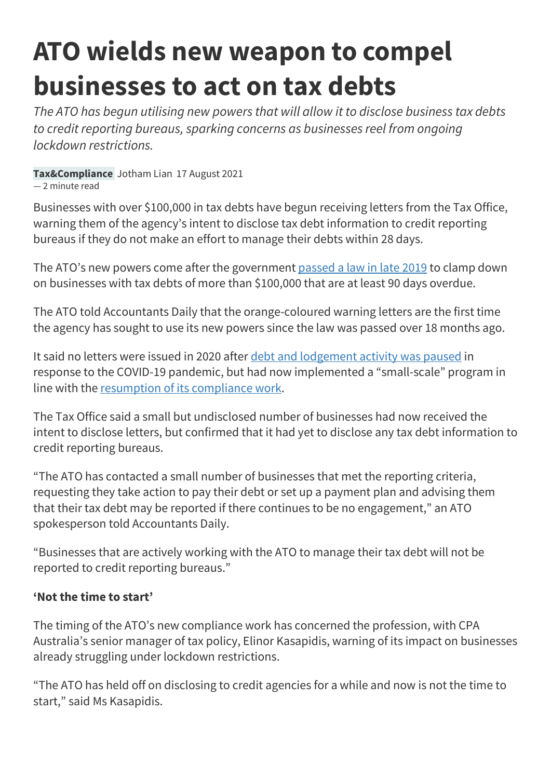## **ATO wields new weapon to compel businesses to act on tax debts**

*The ATO has begun utilising new powers that will allow it to disclose business tax debts to credit reporting bureaus, sparking concerns as businesses reel from ongoing lockdown restrictions.*

**Tax&Compliance** Jotham Lian 17 August 2021

— 2 minute read

Businesses with over \$100,000 in tax debts have begun receiving letters from the Tax Office, warning them of the agency's intent to disclose tax debt information to credit reporting bureaus if they do not make an effort to manage their debts within 28 days.

The ATO's new powers come after the government [passed a law in late 2019](https://www.accountantsdaily.com.au/tax-compliance/13665-tax-debt-disclosure-sg-loophole-bill-passed) to clamp down on businesses with tax debts of more than \$100,000 that are at least 90 days overdue.

The ATO told Accountants Daily that the orange-coloured warning letters are the first time the agency has sought to use its new powers since the law was passed over 18 months ago.

It said no letters were issued in 2020 after [debt and lodgement activity was paused](https://www.accountantsdaily.com.au/tax-compliance/14970-ato-details-covid-19-hit-on-revenue-and-lodgement-targets) in response to the COVID-19 pandemic, but had now implemented a "small-scale" program in line with the [resumption of its compliance work.](https://www.accountantsdaily.com.au/tax-compliance/15603-ato-promises-not-to-destroy-businesses-as-it-resumes-debt-collection)

The Tax Office said a small but undisclosed number of businesses had now received the intent to disclose letters, but confirmed that it had yet to disclose any tax debt information to credit reporting bureaus.

"The ATO has contacted a small number of businesses that met the reporting criteria, requesting they take action to pay their debt or set up a payment plan and advising them that their tax debt may be reported if there continues to be no engagement," an ATO spokesperson told Accountants Daily.

"Businesses that are actively working with the ATO to manage their tax debt will not be reported to credit reporting bureaus."

## **'Not the time to start'**

The timing of the ATO's new compliance work has concerned the profession, with CPA Australia's senior manager of tax policy, Elinor Kasapidis, warning of its impact on businesses already struggling under lockdown restrictions.

"The ATO has held off on disclosing to credit agencies for a while and now is not the time to start," said Ms Kasapidis.